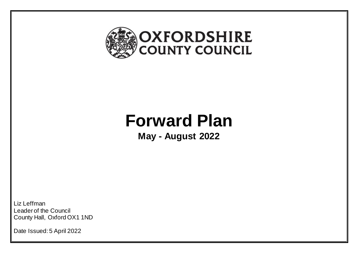

# **Forward Plan**

**May - August 2022**

Liz Leffman Leader of the Council County Hall, Oxford OX1 1ND

Date Issued: 5 April 2022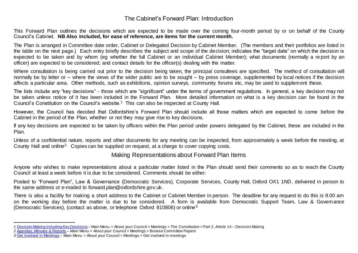# The Cabinet's Forward Plan: Introduction

This Forward Plan outlines the decisions which are expected to be made over the coming four-month period by or on behalf of the County Council's Cabinet. **NB Also included, for ease of reference, are items for the current month.**

The Plan is arranged in Committee date order, Cabinet or Delegated Decision by Cabinet Member. (The members and their portfolios are listed in the table on the next page.) Each entry briefly describes the subject and scope of the decision; indicates the "target date" on which the decision is expected to be taken and by whom (eg whether the full Cabinet or an individual Cabinet Member); what documents (normally a re port by an officer) are expected to be considered; and contact details for the officer(s) dealing with the matter.

Where consultation is being carried out prior to the decision being taken, the principal consultees are specified. The metho d of consultation will normally be by letter or – where the views of the wider public are to be sought – by press coverage, supplemented by local notices if the decision affects a particular area. Other methods, such as exhibitions, opinion surveys, community forums etc, may be used to supplement these.

The lists include any "key decisions" - those which are "significant" under the terms of government regulations. In general, a key decision may not be taken unless notice of it has been included in the Forward Plan. More detailed information on what is a key decision can be found in the Council's Constitution on the Council's website.<sup>1</sup> This can also be inspected at County Hall.

However, the Council has decided that Oxfordshire's Forward Plan should include all those matters which are expected to come before the Cabinet in the period of the Plan, whether or not they may give rise to key decisions.

If any key decisions are expected to be taken by officers within the Plan period under powers delegated by the Cabinet, these are included in the Plan.

Unless of a confidential nature, reports and other documents for any meeting can be inspected, from approximately a week before the meeting, at County Hall and online<sup>2.</sup> Copies can be supplied on request, at a charge to cover copying costs.

# Making Representations about Forward Plan Items

Anyone who wishes to make representations about a particular matter listed in the Plan should send their comments so as to reach the County Council at least a week before it is due to be considered. Comments should be either:

Posted to "Forward Plan", Law & Governance (Democratic Services), Corporate Services, County Hall, Oxford OX1 1ND, delivered in person to the same address or e-mailed to [forward.plan@oxfordshire.gov.uk.](mailto:forward.plan@.oxfordshire.gov.uk)

There is also a facility for making a short address to the Cabinet or Cabinet Member in person. The deadline for any request to do this is 9.00 am on the working day before the matter is due to be considered. A form is available from Democratic Support Team, Law & Governance (Democratic Services), (contact as above, or telephone Oxford 810806) or online3.

 $\overline{a}$ *1* [Decision Making including Key Decisions](https://www.oxfordshire.gov.uk/sites/default/files/file/constitution/part2article14decision_making.pdf) – Main Menu > About your Council > Meetings > The Constitution > Part 2, Article 14 – Decision Making

*<sup>2</sup>* [Agendas, Minutes & Reports](http://mycouncil.oxfordshire.gov.uk/ieDocHome.aspx?bcr=1) – Main Menu > About your Council > Meetings > Browse Committee Papers

*<sup>3</sup>* [Get Involved in Meetings](http://www.oxfordshire.gov.uk/cms/content/get-involved-meetings) – Main Menu > About your Council > Meetings > Get involved in meetings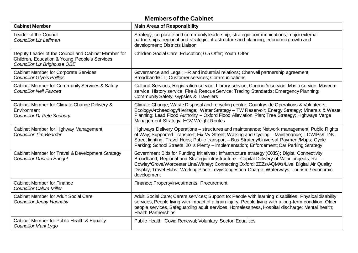# **Members of the Cabinet**

| <b>Cabinet Member</b>                                                                                                                       | <b>Main Areas of Responsibility</b>                                                                                                                                                                                                                                                                                                                                                                      |
|---------------------------------------------------------------------------------------------------------------------------------------------|----------------------------------------------------------------------------------------------------------------------------------------------------------------------------------------------------------------------------------------------------------------------------------------------------------------------------------------------------------------------------------------------------------|
| Leader of the Council<br>Councillor Liz Leffman                                                                                             | Strategy; corporate and community leadership; strategic communications; major external<br>partnerships; regional and strategic infrastructure and planning; economic growth and<br>development; Districts Liaison                                                                                                                                                                                        |
| Deputy Leader of the Council and Cabinet Member for<br>Children, Education & Young People's Services<br><b>Councillor Liz Brighouse OBE</b> | Children Social Care; Education; 0-5 Offer; Youth Offer                                                                                                                                                                                                                                                                                                                                                  |
| <b>Cabinet Member for Corporate Services</b><br><b>Councillor Glynis Phillips</b>                                                           | Governance and Legal; HR and industrial relations; Cherwell partnership agreement;<br>Broadband/ICT; Customer services; Communications                                                                                                                                                                                                                                                                   |
| Cabinet Member for Community Services & Safety<br><b>Councillor Neil Fawcett</b>                                                            | Cultural Services, Registration service, Library service, Coroner's service, Music service, Museum<br>service, History service; Fire & Rescue Service; Trading Standards; Emergency Planning;<br>Community Safety; Gypsies & Travellers                                                                                                                                                                  |
| Cabinet Member for Climate Change Delivery &<br>Environment<br><b>Councillor Dr Pete Sudbury</b>                                            | Climate Change; Waste Disposal and recycling centre; Countryside Operations & Volunteers;<br>Ecology/Archaeology/Heritage; Water Strategy - TW Reservoir; Energy Strategy; Minerals & Waste<br>Planning; Lead Flood Authority - Oxford Flood Alleviation Plan; Tree Strategy; Highways Verge<br>Management Strategy; HGV Weight Routes                                                                   |
| Cabinet Member for Highway Management<br><b>Councillor Tim Bearder</b>                                                                      | Highways Delivery Operations - structures and maintenance; Network management; Public Rights<br>of Way; Supported Transport; Fix My Street; Walking and Cycling - Maintenance; LCWIPs/LTNs;<br>Street lighting; Travel Hubs; Public transport - Bus Strategy/Universal Payment/Maps; Cycle<br>Parking; School Streets; 20 Is Plenty - implementation; Enforcement; Car Parking Strategy                  |
| Cabinet Member for Travel & Development Strategy<br><b>Councillor Duncan Enright</b>                                                        | Government Bids for Funding Initiatives; Infrastructure strategy (OXIS); Digital Connectivity<br>Broadband; Regional and Strategic Infrastructure - Capital Delivery of Major projects; Rail -<br>Cowley/Grove/Worcester Line/Witney; Connecting Oxford; ZEZs/AQMAs/Live Digital Air Quality<br>Display; Travel Hubs; Working Place Levy/Congestion Charge; Waterways; Tourism / economic<br>development |
| <b>Cabinet Member for Finance</b><br><b>Councillor Calum Miller</b>                                                                         | Finance; Property/Investments; Procurement                                                                                                                                                                                                                                                                                                                                                               |
| <b>Cabinet Member for Adult Social Care</b><br>Councillor Jenny Hannaby                                                                     | Adult Social Care; Carers services; Support to: People with learning disabilities, Physical disability<br>services, People living with impact of a brain injury, People living with a long-term condition, Older<br>people services, Safeguarding adult services, Homelessness, Hospital discharge; Mental health;<br><b>Health Partnerships</b>                                                         |
| Cabinet Member for Public Health & Equality<br><b>Councillor Mark Lygo</b>                                                                  | Public Health; Covid Renewal; Voluntary Sector; Equalities                                                                                                                                                                                                                                                                                                                                               |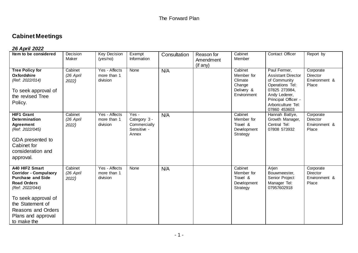# **Cabinet Meetings**

# *26 April 2022*

| Item to be considered                                                                                                                                                                                                            | Decision<br>Maker             | <b>Key Decision</b><br>(yes/no)            | Exempt<br>Information                                         | Consultation | Reason for<br>Amendment<br>(if any) | Cabinet<br>Member                                                       | Contact Officer                                                                                                                                                             | Report by                                              |
|----------------------------------------------------------------------------------------------------------------------------------------------------------------------------------------------------------------------------------|-------------------------------|--------------------------------------------|---------------------------------------------------------------|--------------|-------------------------------------|-------------------------------------------------------------------------|-----------------------------------------------------------------------------------------------------------------------------------------------------------------------------|--------------------------------------------------------|
| <b>Tree Policy for</b><br>Oxfordshire<br>(Ref: 2022/014)<br>To seek approval of<br>the revised Tree<br>Policy.                                                                                                                   | Cabinet<br>(26 April<br>2022) | Yes - Affects<br>more than 1<br>division   | None                                                          | N/A          |                                     | Cabinet<br>Member for<br>Climate<br>Change<br>Delivery &<br>Environment | Paul Fermer,<br><b>Assistant Director</b><br>of Community<br>Operations Tel:<br>07825 273984,<br>Andy Lederer,<br>Principal Officer -<br>Arboriculture Tel:<br>07860 453603 | Corporate<br><b>Director</b><br>Environment &<br>Place |
| <b>HIF1 Grant</b><br><b>Determination</b><br><b>Agreement</b><br>(Ref: 2022/045)<br>GDA presented to<br>Cabinet for<br>consideration and<br>approval.                                                                            | Cabinet<br>(26 April<br>2022) | Yes - Affects<br>more than 1<br>division   | Yes -<br>Category 3 -<br>Commercially<br>Sensitive -<br>Annex | N/A          |                                     | Cabinet<br>Member for<br>Travel &<br>Development<br>Strategy            | Hannah Battye,<br>Growth Manager,<br>Central Tel:<br>07808 573932                                                                                                           | Corporate<br>Director<br>Environment &<br>Place        |
| A40 HIF2 Smart<br><b>Corridor - Compulsory</b><br><b>Purchase and Side</b><br><b>Road Orders</b><br>(Ref: 2022/044)<br>To seek approval of<br>the Statement of<br><b>Reasons and Orders</b><br>Plans and approval<br>to make the | Cabinet<br>(26 April<br>2022) | $Yes - Affects$<br>more than 1<br>division | None                                                          | N/A          |                                     | Cabinet<br>Member for<br>Travel &<br>Development<br>Strategy            | Arjen<br>Bouwmeester,<br>Senior Project<br>Manager Tel:<br>07957602918                                                                                                      | Corporate<br><b>Director</b><br>Environment &<br>Place |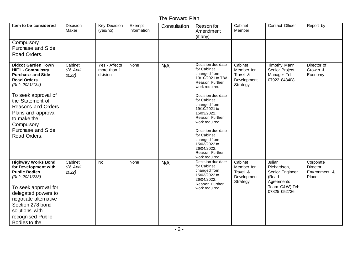| Item to be considered                                                                                                                                                                                                                                                                             | Decision<br>Maker             | <b>Key Decision</b><br>(yes/no)          | Exempt<br>Information | Consultation | Reason for<br>Amendment<br>$($ if any $)$                                                                                                                                                                                                                                                                                                                     | Cabinet<br>Member                                            | Contact Officer                                                                                   | Report by                                              |
|---------------------------------------------------------------------------------------------------------------------------------------------------------------------------------------------------------------------------------------------------------------------------------------------------|-------------------------------|------------------------------------------|-----------------------|--------------|---------------------------------------------------------------------------------------------------------------------------------------------------------------------------------------------------------------------------------------------------------------------------------------------------------------------------------------------------------------|--------------------------------------------------------------|---------------------------------------------------------------------------------------------------|--------------------------------------------------------|
| Compulsory<br><b>Purchase and Side</b><br>Road Orders.                                                                                                                                                                                                                                            |                               |                                          |                       |              |                                                                                                                                                                                                                                                                                                                                                               |                                                              |                                                                                                   |                                                        |
| <b>Didcot Garden Town</b><br><b>HIF1 - Compulsory</b><br><b>Purchase and Side</b><br><b>Road Orders</b><br>(Ref: 2021/134)<br>To seek approval of<br>the Statement of<br><b>Reasons and Orders</b><br>Plans and approval<br>to make the<br>Compulsory<br><b>Purchase and Side</b><br>Road Orders. | Cabinet<br>(26 April<br>2022) | Yes - Affects<br>more than 1<br>division | None                  | N/A          | Decision due date<br>for Cabinet<br>changed from<br>19/10/2021 to TBA.<br>Reason: Further<br>work required.<br>Decision due date<br>for Cabinet<br>changed from<br>19/10/2021 to<br>15/03/2022.<br>Reason: Further<br>work required.<br>Decision due date<br>for Cabinet<br>changed from<br>15/03/2022 to<br>26/04/2022.<br>Reason: Further<br>work required. | Cabinet<br>Member for<br>Travel &<br>Development<br>Strategy | Timothy Mann,<br>Senior Project<br>Manager Tel:<br>07922 848408                                   | Director of<br>Growth &<br>Economy                     |
| <b>Highway Works Bond</b><br>for Development with<br><b>Public Bodies</b><br>(Ref: 2021/233)<br>To seek approval for<br>delegated powers to<br>negotiate alternative<br>Section 278 bond<br>solutions with<br>recognised Public<br>Bodies to the                                                  | Cabinet<br>(26 April<br>2022) | <b>No</b>                                | None                  | N/A          | Decision due date<br>for Cabinet<br>changed from<br>15/03/2022 to<br>26/04/2022.<br>Reason: Further<br>work required.                                                                                                                                                                                                                                         | Cabinet<br>Member for<br>Travel &<br>Development<br>Strategy | Julian<br>Richardson,<br>Senior Engineer<br>(Road<br>Agreements<br>Team C&W) Tel:<br>07825 052736 | Corporate<br><b>Director</b><br>Environment &<br>Place |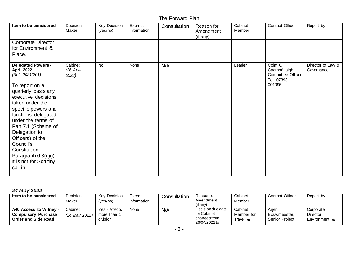| Item to be considered                                                                                                                                                                                                                                                                                                                                                      | Decision<br>Maker             | <b>Key Decision</b><br>(yes/no) | Exempt<br>Information | Consultation | Reason for<br>Amendment<br>(if any) | Cabinet<br>Member | Contact Officer                                                     | Report by                       |
|----------------------------------------------------------------------------------------------------------------------------------------------------------------------------------------------------------------------------------------------------------------------------------------------------------------------------------------------------------------------------|-------------------------------|---------------------------------|-----------------------|--------------|-------------------------------------|-------------------|---------------------------------------------------------------------|---------------------------------|
| Corporate Director<br>for Environment &<br>Place.                                                                                                                                                                                                                                                                                                                          |                               |                                 |                       |              |                                     |                   |                                                                     |                                 |
| <b>Delegated Powers -</b><br>April 2022<br>(Ref: 2021/201)<br>To report on a<br>quarterly basis any<br>executive decisions<br>taken under the<br>specific powers and<br>functions delegated<br>under the terms of<br>Part 7.1 (Scheme of<br>Delegation to<br>Officers) of the<br>Council's<br>Constitution -<br>Paragraph 6.3(c)(i).<br>It is not for Scrutiny<br>call-in. | Cabinet<br>(26 April<br>2022) | <b>No</b>                       | None                  | N/A          |                                     | Leader            | Colm Ó<br>Caomhánaigh,<br>Committee Officer<br>Tel: 07393<br>001096 | Director of Law &<br>Governance |

## *24 May 2022*

| Item to be considered                                                                 | <b>Decision</b><br>Maker   | <b>Key Decision</b><br>(yes/no)          | Exempt<br>Information | Consultation | Reason for<br>Amendment<br>$($ if any $)$                         | Cabinet<br>Member                 | Contact Officer                                | Report by                                     |
|---------------------------------------------------------------------------------------|----------------------------|------------------------------------------|-----------------------|--------------|-------------------------------------------------------------------|-----------------------------------|------------------------------------------------|-----------------------------------------------|
| A40 Access to Witney -<br><b>Purchase</b><br>Compulsory<br><b>Order and Side Road</b> | Cabinet<br>$(24$ May 2022) | Yes - Affects<br>more than 1<br>division | None                  | N/A          | Decision due date<br>for Cabinet<br>changed from<br>26/04/2022 to | Cabinet<br>Member for<br>Travel & | Arien<br>Bouwmeester.<br><b>Senior Project</b> | Corporate<br><b>Director</b><br>Environment & |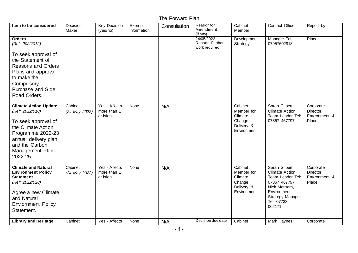| Item to be considered                                                                                                                                                                      | Decision<br>Maker        | <b>Key Decision</b><br>(yes/no)          | Exempt<br>Information | Consultation | Reason for<br>Amendment<br>(if any)              | Cabinet<br>Member                                                       | Contact Officer                                                                                                                                                 | Report by                                              |
|--------------------------------------------------------------------------------------------------------------------------------------------------------------------------------------------|--------------------------|------------------------------------------|-----------------------|--------------|--------------------------------------------------|-------------------------------------------------------------------------|-----------------------------------------------------------------------------------------------------------------------------------------------------------------|--------------------------------------------------------|
| <b>Orders</b><br>(Ref: 2022/012)                                                                                                                                                           |                          |                                          |                       |              | 24/05/2022.<br>Reason: Further<br>work required. | Development<br>Strategy                                                 | Manager Tel:<br>07957602918                                                                                                                                     | Place                                                  |
| To seek approval of<br>the Statement of<br><b>Reasons and Orders</b><br>Plans and approval<br>to make the<br>Compulsory<br><b>Purchase and Side</b><br>Road Orders.                        |                          |                                          |                       |              |                                                  |                                                                         |                                                                                                                                                                 |                                                        |
| <b>Climate Action Update</b><br>(Ref: 2022/018)<br>To seek approval of<br>the Climate Action<br>Programme 2022-23<br>annual delivery plan<br>and the Carbon<br>Management Plan<br>2022-25. | Cabinet<br>(24 May 2022) | Yes - Affects<br>more than 1<br>division | None                  | N/A          |                                                  | Cabinet<br>Member for<br>Climate<br>Change<br>Delivery &<br>Environment | Sarah Gilbert,<br><b>Climate Action</b><br>Team Leader Tel:<br>07867 467797                                                                                     | Corporate<br><b>Director</b><br>Environment &<br>Place |
| <b>Climate and Natural</b><br><b>Environment Policy</b><br><b>Statement</b><br>(Ref: 2022/028)<br>Agree a new Climate<br>and Natural<br><b>Enviornment Policy</b><br>Statement.            | Cabinet<br>(24 May 2022) | Yes - Affects<br>more than 1<br>division | None                  | N/A          |                                                  | Cabinet<br>Member for<br>Climate<br>Change<br>Delivery &<br>Environment | Sarah Gilbert,<br><b>Climate Action</b><br>Team Leader Tel:<br>07867 467797,<br>Nick Mottram,<br>Environment<br><b>Strategy Manager</b><br>Tel: 07733<br>002171 | Corporate<br>Director<br>Environment &<br>Place        |
| <b>Library and Heritage</b>                                                                                                                                                                | Cabinet                  | Yes - Affects                            | None                  | N/A          | Decision due date                                | Cabinet                                                                 | Mark Haynes,                                                                                                                                                    | Corporate                                              |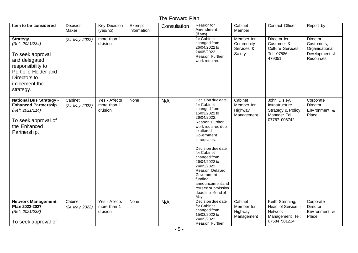| Item to be considered                                                                                                                                              | Decision<br>Maker        | <b>Key Decision</b><br>(yes/no)          | Exempt<br>Information | Consultation | Reason for<br>Amendment<br>(if any)                                                                                                                                                                                                                                                                                                                                         | Cabinet<br>Member                               | Contact Officer                                                                           | Report by                                                                            |
|--------------------------------------------------------------------------------------------------------------------------------------------------------------------|--------------------------|------------------------------------------|-----------------------|--------------|-----------------------------------------------------------------------------------------------------------------------------------------------------------------------------------------------------------------------------------------------------------------------------------------------------------------------------------------------------------------------------|-------------------------------------------------|-------------------------------------------------------------------------------------------|--------------------------------------------------------------------------------------|
| <b>Strategy</b><br>(Ref: 2021/234)<br>To seek approval<br>and delegated<br>responsibility to<br>Portfolio Holder and<br>Directors to<br>implement the<br>strategy. | (24 May 2022)            | more than 1<br>division                  |                       |              | for Cabinet<br>changed from<br>26/04/2022 to<br>24/05/2022.<br>Reason: Further<br>work required.                                                                                                                                                                                                                                                                            | Member for<br>Community<br>Services &<br>Safety | Director for<br>Customer &<br><b>Culture Services</b><br>Tel: 07586<br>479051             | <b>Director</b><br>Customers,<br>Organisational<br>Development &<br><b>Resources</b> |
| <b>National Bus Strategy -</b><br><b>Enhanced Partnership</b><br>(Ref: 2021/214)<br>To seek approval of<br>the Enhanced<br>Partnership.                            | Cabinet<br>(24 May 2022) | Yes - Affects<br>more than 1<br>division | None                  | N/A          | Decision due date<br>for Cabinet<br>changed from<br>15/03/2022 to<br>26/04/2022.<br>Reason: Further<br>work required due<br>to altered<br>Government<br>timescales.<br>Decision due date<br>for Cabinet<br>changed from<br>26/04/2022 to<br>24/05/2022.<br>Reason: Delayed<br>Government<br>funding<br>announcement and<br>revised submission<br>deadline of end of<br>May. | Cabinet<br>Member for<br>Highway<br>Management  | John Disley,<br>Infrastructure<br>Strategy & Policy<br>Manager Tel:<br>07767 006742       | Corporate<br>Director<br>Environment &<br>Place                                      |
| <b>Network Management</b><br>Plan 2022-2027<br>(Ref: 2021/238)<br>To seek approval of                                                                              | Cabinet<br>(24 May 2022) | Yes - Affects<br>more than 1<br>division | None                  | N/A          | Decision due date<br>for Cabinet<br>changed from<br>15/03/2022 to<br>24/05/2022.<br>Reason: Further                                                                                                                                                                                                                                                                         | Cabinet<br>Member for<br>Highway<br>Management  | Keith Stenning,<br>Head of Service -<br><b>Network</b><br>Management Tel:<br>07584 581214 | Corporate<br>Director<br>Environment &<br>Place                                      |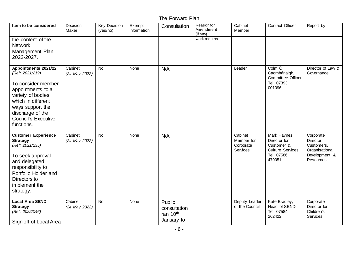| Item to be considered                                                                                                                                                                                             | Decision<br>Maker        | <b>Key Decision</b><br>(yes/no) | Exempt<br>Information | Consultation                                                 | Reason for<br>Amendment<br>(if any) | Cabinet<br>Member                              | Contact Officer                                                                               | Report by                                                                           |
|-------------------------------------------------------------------------------------------------------------------------------------------------------------------------------------------------------------------|--------------------------|---------------------------------|-----------------------|--------------------------------------------------------------|-------------------------------------|------------------------------------------------|-----------------------------------------------------------------------------------------------|-------------------------------------------------------------------------------------|
| the content of the<br><b>Network</b><br>Management Plan<br>2022-2027.                                                                                                                                             |                          |                                 |                       |                                                              | work required.                      |                                                |                                                                                               |                                                                                     |
| Appointments 2021/22<br>(Ref: 2021/219)<br>To consider member<br>appointments to a<br>variety of bodies<br>which in different<br>ways support the<br>discharge of the<br><b>Council's Executive</b><br>functions. | Cabinet<br>(24 May 2022) | <b>No</b>                       | None                  | N/A                                                          |                                     | Leader                                         | Colm Ó<br>Caomhánaigh,<br>Committee Officer<br>Tel: 07393<br>001096                           | Director of Law &<br>Governance                                                     |
| <b>Customer Experience</b><br><b>Strategy</b><br>(Ref: 2021/235)<br>To seek approval<br>and delegated<br>responsibility to<br>Portfolio Holder and<br>Directors to<br>implement the<br>strategy.                  | Cabinet<br>(24 May 2022) | <b>No</b>                       | None                  | N/A                                                          |                                     | Cabinet<br>Member for<br>Corporate<br>Services | Mark Haynes,<br>Director for<br>Customer &<br><b>Culture Services</b><br>Tel: 07586<br>479051 | Corporate<br>Director<br>Customers,<br>Organisational<br>Development &<br>Resources |
| <b>Local Area SEND</b><br><b>Strategy</b><br>(Ref: 2022/046)<br>Sign off of Local Area                                                                                                                            | Cabinet<br>(24 May 2022) | <b>No</b>                       | None                  | Public<br>consultation<br>ran 10 <sup>th</sup><br>January to |                                     | Deputy Leader<br>of the Council                | Kate Bradley,<br>Head of SEND<br>Tel: 07584<br>262422                                         | Corporate<br>Director for<br>Children's<br>Services                                 |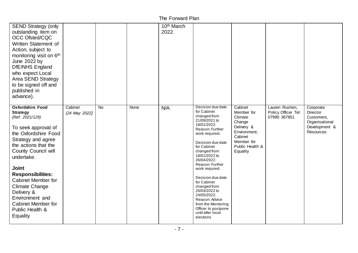| <b>SEND Strategy (only</b><br>outstanding item on<br><b>OCC Ofsted/CQC</b><br>Written Statement of<br>Action, subject to<br>monitoring visit on 6 <sup>th</sup><br>June 2022 by<br>DfE/NHS England<br>who expect Local<br><b>Area SEND Strategy</b><br>to be signed off and<br>published in<br>advance).                                                                                                     |                          |    |      | 10 <sup>th</sup> March<br>2022. |                                                                                                                                                                                                                                                                                                                                                                                                                                      |                                                                                                                                  |                                                       |                                                                                     |
|--------------------------------------------------------------------------------------------------------------------------------------------------------------------------------------------------------------------------------------------------------------------------------------------------------------------------------------------------------------------------------------------------------------|--------------------------|----|------|---------------------------------|--------------------------------------------------------------------------------------------------------------------------------------------------------------------------------------------------------------------------------------------------------------------------------------------------------------------------------------------------------------------------------------------------------------------------------------|----------------------------------------------------------------------------------------------------------------------------------|-------------------------------------------------------|-------------------------------------------------------------------------------------|
| <b>Oxfordshire Food</b><br><b>Strategy</b><br>(Ref: 2021/129)<br>To seek approval of<br>the Oxfordshire Food<br>Strategy and agree<br>the actions that the<br><b>County Council will</b><br>undertake.<br><b>Joint</b><br><b>Responsibilities:</b><br><b>Cabinet Member for</b><br><b>Climate Change</b><br>Delivery &<br>Environment and<br><b>Cabinet Member for</b><br>Public Health &<br><b>Equality</b> | Cabinet<br>(24 May 2022) | No | None | N/A                             | Decision due date<br>for Cabinet<br>changed from<br>21/09/2021 to<br>18/01/2022.<br>Reason: Further<br>work required.<br>Decision due date<br>for Cabinet<br>changed from<br>18/01/2022 to<br>26/04/2022.<br>Reason: Further<br>work required.<br>Decision due date<br>for Cabinet<br>changed from<br>26/04/2022 to<br>24/05/2022.<br>Reason: Advice<br>from the Monitoring<br>Officer to postpone<br>until after local<br>elections | Cabinet<br>Member for<br>Climate<br>Change<br>Delivery &<br>Environment,<br>Cabinet<br>Member for<br>Public Health &<br>Equality | Lauren Rushen,<br>Policy Officer Tel:<br>07990 367851 | Corporate<br>Director<br>Customers,<br>Organisational<br>Development &<br>Resources |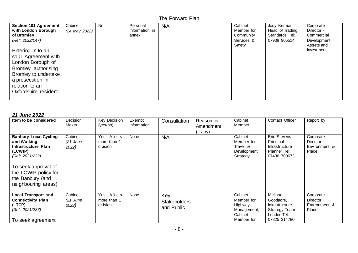| <b>Section 101 Agreement</b><br>with London Borough<br>of Bromley<br>(Ref: 2022/047)<br>Entering in to an<br>s101 Agreement with<br>London Borough of<br>Bromley, authorising<br>Bromley to undertake<br>a prosecution in<br>relation to an | Cabinet<br>(24 May 2022) | <b>No</b> | Personal<br>information in<br>annex | N/A | Cabinet<br>Member for<br>Community<br>Services &<br>Safety | Jody Kerman,<br>Head of Trading<br>Standards Tel:<br>07909 905514 | Corporate<br>Director -<br>Commercial<br>Development,<br>Assets and<br>Investment |
|---------------------------------------------------------------------------------------------------------------------------------------------------------------------------------------------------------------------------------------------|--------------------------|-----------|-------------------------------------|-----|------------------------------------------------------------|-------------------------------------------------------------------|-----------------------------------------------------------------------------------|
| Oxfordshire resident.                                                                                                                                                                                                                       |                          |           |                                     |     |                                                            |                                                                   |                                                                                   |

#### *21 June 2022*

| Item to be considered                                                                                                                                                                       | Decision<br>Maker              | Key Decision<br>(yes/no)                 | Exempt<br>Information | Consultation                             | Reason for<br>Amendment<br>(if any) | Cabinet<br>Member                                                        | Contact Officer                                                                                | Report by                                              |
|---------------------------------------------------------------------------------------------------------------------------------------------------------------------------------------------|--------------------------------|------------------------------------------|-----------------------|------------------------------------------|-------------------------------------|--------------------------------------------------------------------------|------------------------------------------------------------------------------------------------|--------------------------------------------------------|
| <b>Banbury Local Cycling</b><br>and Walking<br>Infrastructure Plan<br>(LCWIP)<br>(Ref: 2021/232)<br>To seek approval of<br>the LCWIP policy for<br>the Banbury (and<br>neighbouring areas). | Cabinet<br>$(21$ June<br>2022) | Yes - Affects<br>more than 1<br>division | None                  | N/A                                      |                                     | Cabinet<br>Member for<br>Travel &<br>Development<br>Strategy             | Eric Stevens,<br>Principal<br><b>Infrastructure</b><br>Planner Tel:<br>07436 700673            | Corporate<br>Director<br>Environment &<br>Place        |
| <b>Local Transport and</b><br><b>Connectivity Plan</b><br>(LTCP)<br>(Ref: 2021/237)<br>To seek agreement                                                                                    | Cabinet<br>(21 June<br>2022)   | Yes - Affects<br>more than 1<br>division | None                  | Key<br><b>Stakeholders</b><br>and Public |                                     | Cabinet<br>Member for<br>Highway<br>Management,<br>Cabinet<br>Member for | Melissa<br>Goodacre.<br><b>Infrastructure</b><br>Strategy Team<br>Leader Tel:<br>07825 314780, | Corporate<br><b>Director</b><br>Environment &<br>Place |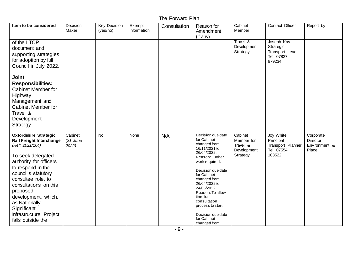| Item to be considered                                                                                                                                                                                                                                                                                                                           | Decision<br>Maker              | <b>Key Decision</b><br>(yes/no) | Exempt<br>Information | Consultation | Reason for<br>Amendment<br>(if any)                                                                                                                                                                                                                                                                                               | Cabinet<br>Member                                            | Contact Officer                                                      | Report by                                       |
|-------------------------------------------------------------------------------------------------------------------------------------------------------------------------------------------------------------------------------------------------------------------------------------------------------------------------------------------------|--------------------------------|---------------------------------|-----------------------|--------------|-----------------------------------------------------------------------------------------------------------------------------------------------------------------------------------------------------------------------------------------------------------------------------------------------------------------------------------|--------------------------------------------------------------|----------------------------------------------------------------------|-------------------------------------------------|
| of the LTCP<br>document and<br>supporting strategies<br>for adoption by full<br>Council in July 2022.<br><b>Joint</b>                                                                                                                                                                                                                           |                                |                                 |                       |              |                                                                                                                                                                                                                                                                                                                                   | Travel &<br>Development<br>Strategy                          | Joseph Kay,<br>Strategic<br>Transport Lead<br>Tel: 07827<br>979234   |                                                 |
| <b>Responsibilities:</b><br><b>Cabinet Member for</b><br>Highway<br>Management and<br>Cabinet Member for<br>Travel &<br>Development<br>Strategy                                                                                                                                                                                                 |                                |                                 |                       |              |                                                                                                                                                                                                                                                                                                                                   |                                                              |                                                                      |                                                 |
| <b>Oxfordshire Strategic</b><br><b>Rail Freight Interchange</b><br>(Ref: 2021/164)<br>To seek delegated<br>authority for officers<br>to respond in the<br>council's statutory<br>consultee role, to<br>consultations on this<br>proposed<br>development, which,<br>as Nationally<br>Significant<br>Infrastructure Project,<br>falls outside the | Cabinet<br>$(21$ June<br>2022) | $\overline{N}$                  | None                  | N/A          | Decision due date<br>for Cabinet<br>changed from<br>16/11/2021 to<br>26/04/2022.<br>Reason: Further<br>work required.<br>Decision due date<br>for Cabinet<br>changed from<br>26/04/2022 to<br>24/05/2022.<br>Reason: To allow<br>time for<br>consultation<br>process to start<br>Decision due date<br>for Cabinet<br>changed from | Cabinet<br>Member for<br>Travel &<br>Development<br>Strategy | Joy White,<br>Principal<br>Transport Planner<br>Tel: 07554<br>103522 | Corporate<br>Director<br>Environment &<br>Place |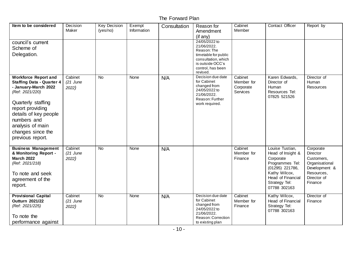| Item to be considered                                                                                                                                                                                                                                     | Decision<br>Maker              | <b>Key Decision</b><br>(yes/no) | Exempt<br>Information | Consultation | Reason for<br>Amendment<br>$($ if any $)$                                                                                                       | Cabinet<br>Member                              | Contact Officer                                                                                                                                                | Report by                                                                                                      |
|-----------------------------------------------------------------------------------------------------------------------------------------------------------------------------------------------------------------------------------------------------------|--------------------------------|---------------------------------|-----------------------|--------------|-------------------------------------------------------------------------------------------------------------------------------------------------|------------------------------------------------|----------------------------------------------------------------------------------------------------------------------------------------------------------------|----------------------------------------------------------------------------------------------------------------|
| council's current<br>Scheme of<br>Delegation.                                                                                                                                                                                                             |                                |                                 |                       |              | 24/05/2022 to<br>21/06/2022.<br>Reason: The<br>timetable for public<br>consultation, which<br>is outside OCC's<br>control, has been<br>revised. |                                                |                                                                                                                                                                |                                                                                                                |
| <b>Workforce Report and</b><br><b>Staffing Data - Quarter 4</b><br>- January-March 2022<br>(Ref: 2021/220)<br>Quarterly staffing<br>report providing<br>details of key people<br>numbers and<br>analysis of main<br>changes since the<br>previous report. | Cabinet<br>$(21$ June<br>2022) | <b>No</b>                       | None                  | N/A          | Decision due date<br>for Cabinet<br>changed from<br>24/05/2022 to<br>21/06/2022.<br>Reason: Further<br>work required.                           | Cabinet<br>Member for<br>Corporate<br>Services | Karen Edwards,<br>Director of<br>Human<br>Resources Tel:<br>07825 521526                                                                                       | Director of<br>Human<br><b>Resources</b>                                                                       |
| <b>Business Management</b><br>& Monitoring Report -<br><b>March 2022</b><br>(Ref: 2021/218)<br>To note and seek<br>agreement of the<br>report.                                                                                                            | Cabinet<br>$(21$ June<br>2022) | <b>No</b>                       | None                  | N/A          |                                                                                                                                                 | Cabinet<br>Member for<br>Finance               | Louise Tustian,<br>Head of Insight &<br>Corporate<br>Programmes Tel:<br>(01295) 221786,<br>Kathy Wilcox,<br>Head of Financial<br>Strategy Tel:<br>07788 302163 | Corporate<br>Director<br>Customers,<br>Organisational<br>Development &<br>Resources,<br>Director of<br>Finance |
| <b>Provisional Capital</b><br><b>Outturn 2021/22</b><br>(Ref: 2021/225)<br>To note the<br>performance against                                                                                                                                             | Cabinet<br>$(21$ June<br>2022) | No                              | None                  | N/A          | Decision due date<br>for Cabinet<br>changed from<br>24/05/2022 to<br>21/06/2022.<br>Reason: Correction<br>to existing plan                      | Cabinet<br>Member for<br>Finance               | Kathy Wilcox,<br>Head of Financial<br>Strategy Tel:<br>07788 302163                                                                                            | Director of<br>Finance                                                                                         |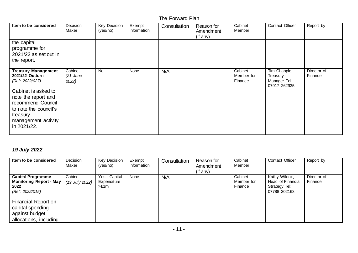| Item to be considered                                                                                                                                                                                          | Decision<br>Maker              | <b>Key Decision</b><br>(yes/no) | Exempt<br>Information | Consultation | Reason for<br>Amendment<br>$($ if any $)$ | Cabinet<br>Member                | Contact Officer                                          | Report by              |
|----------------------------------------------------------------------------------------------------------------------------------------------------------------------------------------------------------------|--------------------------------|---------------------------------|-----------------------|--------------|-------------------------------------------|----------------------------------|----------------------------------------------------------|------------------------|
| the capital<br>programme for<br>$2021/22$ as set out in<br>the report.                                                                                                                                         |                                |                                 |                       |              |                                           |                                  |                                                          |                        |
| <b>Treasury Management</b><br>2021/22 Outturn<br>(Ref: 2022/027)<br>Cabinet is asked to<br>note the report and<br>recommend Council<br>to note the council's<br>treasury<br>management activity<br>in 2021/22. | Cabinet<br>$(21$ June<br>2022) | <b>No</b>                       | None                  | N/A          |                                           | Cabinet<br>Member for<br>Finance | Tim Chapple,<br>Treasury<br>Manager Tel:<br>07917 262935 | Director of<br>Finance |

# *19 July 2022*

| Item to be considered                                                                 | Decision<br>Maker         | <b>Key Decision</b><br>(yes/no)      | Exempt<br>Information | Consultation | Reason for<br>Amendment<br>$($ if any $)$ | Cabinet<br>Member                | <b>Contact Officer</b>                                                     | Report by              |
|---------------------------------------------------------------------------------------|---------------------------|--------------------------------------|-----------------------|--------------|-------------------------------------------|----------------------------------|----------------------------------------------------------------------------|------------------------|
| <b>Capital Programme</b><br><b>Monitoring Report - May</b><br>2022<br>(Ref: 2022/015) | Cabinet<br>(19 July 2022) | Yes - Capital<br>Expenditure<br>>E1m | None                  | N/A          |                                           | Cabinet<br>Member for<br>Finance | Kathy Wilcox,<br><b>Head of Financial</b><br>Strategy Tel:<br>07788 302163 | Director of<br>Finance |
| Financial Report on<br>capital spending<br>against budget<br>allocations, including   |                           |                                      |                       |              |                                           |                                  |                                                                            |                        |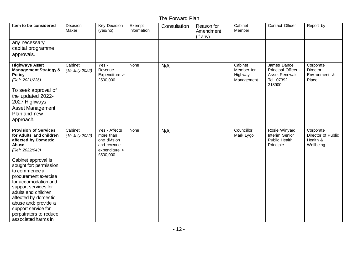| Item to be considered                                                                                                                                                                                                                                                                                                                                                                                | Decision<br>Maker         | <b>Key Decision</b><br>(yes/no)                                                        | Exempt<br>Information | Consultation | Reason for<br>Amendment<br>(if any) | Cabinet<br>Member                              | Contact Officer                                                                      | Report by                                                |
|------------------------------------------------------------------------------------------------------------------------------------------------------------------------------------------------------------------------------------------------------------------------------------------------------------------------------------------------------------------------------------------------------|---------------------------|----------------------------------------------------------------------------------------|-----------------------|--------------|-------------------------------------|------------------------------------------------|--------------------------------------------------------------------------------------|----------------------------------------------------------|
| any necessary<br>capital programme<br>approvals.                                                                                                                                                                                                                                                                                                                                                     |                           |                                                                                        |                       |              |                                     |                                                |                                                                                      |                                                          |
| <b>Highways Asset</b><br><b>Management Strategy &amp;</b><br><b>Policy</b><br>(Ref: 2021/236)<br>To seek approval of<br>the updated 2022-<br>2027 Highways<br><b>Asset Management</b><br>Plan and new<br>approach.                                                                                                                                                                                   | Cabinet<br>(19 July 2022) | Yes -<br>Revenue<br>Expenditure ><br>£500,000                                          | None                  | N/A          |                                     | Cabinet<br>Member for<br>Highway<br>Management | James Dance,<br>Principal Officer -<br><b>Asset Renewals</b><br>Tel: 07392<br>318900 | Corporate<br>Director<br>Environment &<br>Place          |
| <b>Provision of Services</b><br>for Adults and children<br>affected by Domestic<br>Abuse<br>(Ref: 2022/043)<br>Cabinet approval is<br>sought for: permission<br>to commence a<br>procurement exercise<br>for accomodation and<br>support services for<br>adults and children<br>affected by domestic<br>abuse and; provide a<br>support service for<br>perpatrators to reduce<br>associated harms in | Cabinet<br>(19 July 2022) | Yes - Affects<br>more than<br>one division<br>and revenue<br>expenditure ><br>£500,000 | None                  | N/A          |                                     | Councillor<br>Mark Lygo                        | Rosie Winyard,<br>Interim Senior<br>Public Health<br>Principle                       | Corporate<br>Director of Public<br>Health &<br>Wellbeing |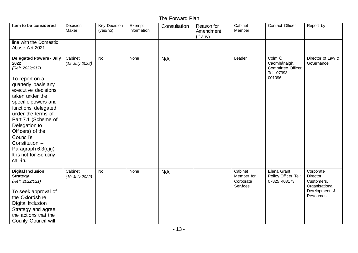| Item to be considered                                                                                                                                                                                                                                                                                                                                                     | Decision<br>Maker         | <b>Key Decision</b><br>(yes/no) | Exempt<br>Information | Consultation | Reason for<br>Amendment<br>(if any) | Cabinet<br>Member                              | Contact Officer                                                     | Report by                                                                           |
|---------------------------------------------------------------------------------------------------------------------------------------------------------------------------------------------------------------------------------------------------------------------------------------------------------------------------------------------------------------------------|---------------------------|---------------------------------|-----------------------|--------------|-------------------------------------|------------------------------------------------|---------------------------------------------------------------------|-------------------------------------------------------------------------------------|
| line with the Domestic<br>Abuse Act 2021.                                                                                                                                                                                                                                                                                                                                 |                           |                                 |                       |              |                                     |                                                |                                                                     |                                                                                     |
| <b>Delegated Powers - July</b><br>2022<br>(Ref: 2022/017)<br>To report on a<br>quarterly basis any<br>executive decisions<br>taken under the<br>specific powers and<br>functions delegated<br>under the terms of<br>Part 7.1 (Scheme of<br>Delegation to<br>Officers) of the<br>Council's<br>Constitution -<br>Paragraph 6.3(c)(i).<br>It is not for Scrutiny<br>call-in. | Cabinet<br>(19 July 2022) | <b>No</b>                       | None                  | N/A          |                                     | Leader                                         | Colm O<br>Caomhánaigh,<br>Committee Officer<br>Tel: 07393<br>001096 | Director of Law &<br>Governance                                                     |
| <b>Digital Inclusion</b><br><b>Strategy</b><br>(Ref: 2022/021)<br>To seek approval of<br>the Oxfordshire<br>Digital Inclusion<br>Strategy and agree<br>the actions that the<br><b>County Council will</b>                                                                                                                                                                 | Cabinet<br>(19 July 2022) | No                              | None                  | N/A          |                                     | Cabinet<br>Member for<br>Corporate<br>Services | Elena Grant,<br>Policy Officer Tel:<br>07825 403173                 | Corporate<br>Director<br>Customers,<br>Organisational<br>Development &<br>Resources |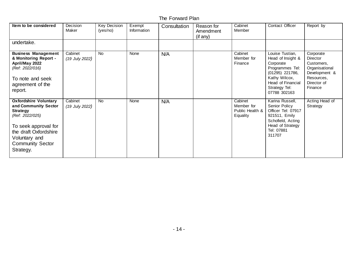| Item to be considered                                                                                                                                                                                | Decision<br>Maker           | <b>Key Decision</b><br>(yes/no) | Exempt<br>Information | Consultation | Reason for<br>Amendment<br>$($ if any $)$ | Cabinet<br>Member                                    | Contact Officer                                                                                                                                                | Report by                                                                                                      |
|------------------------------------------------------------------------------------------------------------------------------------------------------------------------------------------------------|-----------------------------|---------------------------------|-----------------------|--------------|-------------------------------------------|------------------------------------------------------|----------------------------------------------------------------------------------------------------------------------------------------------------------------|----------------------------------------------------------------------------------------------------------------|
| undertake.                                                                                                                                                                                           |                             |                                 |                       |              |                                           |                                                      |                                                                                                                                                                |                                                                                                                |
| <b>Business Management</b><br>& Monitoring Report -<br>April/May 2022<br>(Ref: 2022/016)<br>To note and seek<br>agreement of the<br>report.                                                          | Cabinet<br>$(19$ July 2022) | <b>No</b>                       | None                  | N/A          |                                           | Cabinet<br>Member for<br>Finance                     | Louise Tustian,<br>Head of Insight &<br>Corporate<br>Programmes Tel:<br>(01295) 221786,<br>Kathy Wilcox,<br>Head of Financial<br>Strategy Tel:<br>07788 302163 | Corporate<br>Director<br>Customers,<br>Organisational<br>Development &<br>Resources,<br>Director of<br>Finance |
| <b>Oxfordshire Voluntary</b><br>and Community Sector<br><b>Strategy</b><br>(Ref: 2022/025)<br>To seek approval for<br>the draft Oxfordshire<br>Voluntary and<br><b>Community Sector</b><br>Strategy. | Cabinet<br>$(19$ July 2022) | <b>No</b>                       | None                  | N/A          |                                           | Cabinet<br>Member for<br>Public Health &<br>Equality | Karina Russell,<br>Senior Policy<br>Officer Tel: 07917<br>921511, Emily<br>Schofield, Acting<br>Head of Strategy<br>Tel: 07881<br>311707                       | Acting Head of<br>Strategy                                                                                     |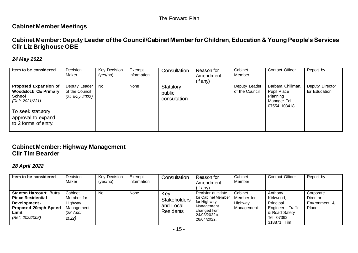# **Cabinet Member Meetings**

# **Cabinet Member: Deputy Leader of the Council/Cabinet Member for Children, Education & Young People's Services Cllr Liz Brighouse OBE**

#### *24 May 2022*

| Item to be considered                                                                                                                                | Decision<br>Maker                                | <b>Key Decision</b><br>(yes/no) | Exempt<br>Information | Consultation                        | Reason for<br>Amendment<br>$($ if any $)$ | Cabinet<br>Member               | Contact Officer                                                              | Report by                        |
|------------------------------------------------------------------------------------------------------------------------------------------------------|--------------------------------------------------|---------------------------------|-----------------------|-------------------------------------|-------------------------------------------|---------------------------------|------------------------------------------------------------------------------|----------------------------------|
| Proposed Expansion of<br><b>Woodstock CE Primary</b><br>School<br>(Ref: 2021/231)<br>To seek statutory<br>approval to expand<br>to 2 forms of entry. | Deputy Leader<br>of the Council<br>(24 May 2022) | No.                             | None                  | Statutory<br>public<br>consultation |                                           | Deputy Leader<br>of the Council | Barbara Chillman,<br>Pupil Place<br>Planning<br>Manager Tel:<br>07554 103418 | Deputy Director<br>for Education |

# **Cabinet Member: Highway Management Cllr Tim Bearder**

#### *28 April 2022*

| Item to be considered                                                                                                          | Decision<br>Maker                                                    | <b>Key Decision</b><br>(yes/no) | Exempt<br>Information | Consultation                                                | Reason for<br>Amendment<br>$($ if any $)$                                                                              | Cabinet<br>Member                              | <b>Contact Officer</b>                                                                                | Report by                                              |
|--------------------------------------------------------------------------------------------------------------------------------|----------------------------------------------------------------------|---------------------------------|-----------------------|-------------------------------------------------------------|------------------------------------------------------------------------------------------------------------------------|------------------------------------------------|-------------------------------------------------------------------------------------------------------|--------------------------------------------------------|
| <b>Stanton Harcourt: Butts</b><br><b>Piece Residential</b><br>Development-<br>Proposed 20mph Speed<br>Limit<br>(Ref: 2022/008) | Cabinet<br>Member for<br>Highway<br>Management<br>(28 April<br>2022) | No                              | None                  | Key<br><b>Stakeholders</b><br>and Local<br><b>Residents</b> | Decision due date<br>for Cabinet Member  <br>for Highway<br>Management<br>changed from<br>24/03/2022 to<br>28/04/2022. | Cabinet<br>Member for<br>Highway<br>Management | Anthony<br>Kirkwood,<br>Principal<br>Engineer - Traffic<br>& Road Safety<br>Tel: 07392<br>318871, Tim | Corporate<br><b>Director</b><br>Environment &<br>Place |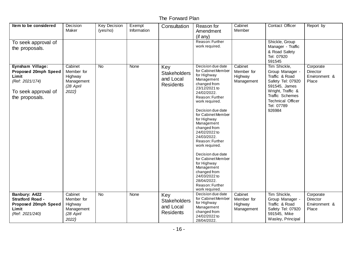| Item to be considered                                                                                         | Decision<br>Maker                                                    | <b>Key Decision</b><br>(yes/no) | Exempt<br>Information | Consultation                                                | Reason for<br>Amendment<br>$($ if any $)$                                                                                                                                                                                                                                                                                                                                                                                                                                           | Cabinet<br>Member                              | Contact Officer                                                                                                                                                                     | Report by                                              |
|---------------------------------------------------------------------------------------------------------------|----------------------------------------------------------------------|---------------------------------|-----------------------|-------------------------------------------------------------|-------------------------------------------------------------------------------------------------------------------------------------------------------------------------------------------------------------------------------------------------------------------------------------------------------------------------------------------------------------------------------------------------------------------------------------------------------------------------------------|------------------------------------------------|-------------------------------------------------------------------------------------------------------------------------------------------------------------------------------------|--------------------------------------------------------|
| To seek approval of<br>the proposals.                                                                         |                                                                      |                                 |                       |                                                             | Reason: Further<br>work required.                                                                                                                                                                                                                                                                                                                                                                                                                                                   |                                                | Shickle, Group<br>Manager - Traffic<br>& Road Safety<br>Tel: 07920<br>591545                                                                                                        |                                                        |
| Eynsham Village:<br>Proposed 20mph Speed<br>Limit<br>(Ref: 2021/174)<br>To seek approval of<br>the proposals. | Cabinet<br>Member for<br>Highway<br>Management<br>(28 April<br>2022) | <b>No</b>                       | <b>None</b>           | Key<br><b>Stakeholders</b><br>and Local<br><b>Residents</b> | Decision due date<br>for Cabinet Member<br>for Highway<br>Management<br>changed from<br>23/12/2021 to<br>24/02/2022.<br>Reason: Further<br>work required.<br>Decision due date<br>for Cabinet Member<br>for Highway<br>Management<br>changed from<br>24/02/2022 to<br>24/03/2022.<br>Reason: Further<br>work required.<br>Decision due date<br>for Cabinet Member<br>for Highway<br>Management<br>changed from<br>24/03/2022 to<br>28/04/2022.<br>Reason: Further<br>work required. | Cabinet<br>Member for<br>Highway<br>Management | Tim Shickle,<br>Group Manager -<br>Traffic & Road<br>Safety Tel: 07920<br>591545, James<br>Wright, Traffic &<br>Traffic Schemes<br><b>Technical Officer</b><br>Tel: 07789<br>926984 | Corporate<br><b>Director</b><br>Environment &<br>Place |
| <b>Banbury: A422</b><br><b>Stratford Road -</b><br>Proposed 20mph Speed<br>Limit<br>(Ref: 2021/240)           | Cabinet<br>Member for<br>Highway<br>Management<br>(28 April<br>2022) | No                              | None                  | Key<br><b>Stakeholders</b><br>and Local<br><b>Residents</b> | Decision due date<br>for Cabinet Member<br>for Highway<br>Management<br>changed from<br>24/02/2022 to<br>28/04/2022.                                                                                                                                                                                                                                                                                                                                                                | Cabinet<br>Member for<br>Highway<br>Management | Tim Shickle,<br>Group Manager -<br>Traffic & Road<br>Safety Tel: 07920<br>591545, Mike<br>Wasley, Principal                                                                         | Corporate<br>Director<br>Environment &<br>Place        |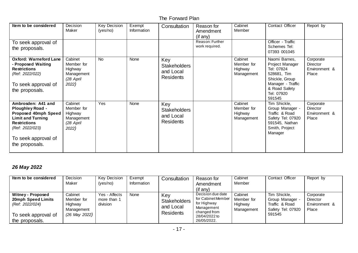| Item to be considered                                                                                                                                                                | Decision<br>Maker                                                    | Key Decision<br>(yes/no) | Exempt<br>Information | Consultation                                                | Reason for<br>Amendment<br>$($ if any $)$ | Cabinet<br>Member                              | Contact Officer                                                                                                                               | Report by                                       |
|--------------------------------------------------------------------------------------------------------------------------------------------------------------------------------------|----------------------------------------------------------------------|--------------------------|-----------------------|-------------------------------------------------------------|-------------------------------------------|------------------------------------------------|-----------------------------------------------------------------------------------------------------------------------------------------------|-------------------------------------------------|
| To seek approval of<br>the proposals.                                                                                                                                                |                                                                      |                          |                       |                                                             | Reason: Further<br>work required.         |                                                | Officer - Traffic<br>Schemes Tel:<br>07393 001045                                                                                             |                                                 |
| <b>Oxford: Warneford Lane</b><br>- Proposed Waiting<br><b>Restrictions</b><br>(Ref: 2022/022)<br>To seek approval of<br>the proposals.                                               | Cabinet<br>Member for<br>Highway<br>Management<br>(28 April<br>2022) | <b>No</b>                | None                  | Key<br><b>Stakeholders</b><br>and Local<br><b>Residents</b> |                                           | Cabinet<br>Member for<br>Highway<br>Management | Naomi Barnes,<br>Project Manager<br>Tel: 07824<br>528681, Tim<br>Shickle, Group<br>Manager - Traffic<br>& Road Safety<br>Tel: 07920<br>591545 | Corporate<br>Director<br>Environment &<br>Place |
| Ambrosden: A41 and<br><b>Ploughley Road -</b><br>Proposed 40mph Speed<br><b>Limit and Turning</b><br><b>Restrictions</b><br>(Ref: 2022/023)<br>To seek approval of<br>the proposals. | Cabinet<br>Member for<br>Highway<br>Management<br>(28 April<br>2022) | Yes                      | None                  | Key<br><b>Stakeholders</b><br>and Local<br><b>Residents</b> |                                           | Cabinet<br>Member for<br>Highway<br>Management | Tim Shickle,<br>Group Manager -<br>Traffic & Road<br>Safety Tel: 07920<br>591545, Nathan<br>Smith, Project<br>Manager                         | Corporate<br>Director<br>Environment &<br>Place |

# *26 May 2022*

| Item to be considered                                                                                      | Decision<br>Maker                                               | <b>Key Decision</b><br>(yes/no)          | Exempt<br>Information | Consultation                                         | Reason for<br>Amendment<br>$($ if any $)$                                                                            | Cabinet<br>Member                              | <b>Contact Officer</b>                                                         | Report by                                              |
|------------------------------------------------------------------------------------------------------------|-----------------------------------------------------------------|------------------------------------------|-----------------------|------------------------------------------------------|----------------------------------------------------------------------------------------------------------------------|------------------------------------------------|--------------------------------------------------------------------------------|--------------------------------------------------------|
| <b>Witney - Proposed</b><br>20mph Speed Limits<br>(Ref: 2022/024)<br>To seek approval of<br>the proposals. | Cabinet<br>Member for<br>Highway<br>Management<br>(26 May 2022) | Yes - Affects<br>more than 1<br>division | None                  | Key<br><b>Stakeholders</b><br>and Local<br>Residents | Decision due date<br>for Cabinet Member<br>for Highway<br>Management<br>changed from<br>28/04/2022 to<br>26/05/2022. | Cabinet<br>Member for<br>Highway<br>Management | Tim Shickle,<br>Group Manager<br>Traffic & Road<br>Safety Tel: 07920<br>591545 | Corporate<br><b>Director</b><br>Environment &<br>Place |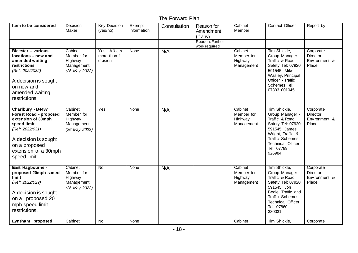| Item to be considered                                                                                                                                                                | Decision<br>Maker                                               | <b>Key Decision</b><br>(yes/no)          | Exempt<br>Information | Consultation | Reason for<br>Amendment<br>(if any) | Cabinet<br>Member                              | Contact Officer                                                                                                                                                                           | Report by                                              |
|--------------------------------------------------------------------------------------------------------------------------------------------------------------------------------------|-----------------------------------------------------------------|------------------------------------------|-----------------------|--------------|-------------------------------------|------------------------------------------------|-------------------------------------------------------------------------------------------------------------------------------------------------------------------------------------------|--------------------------------------------------------|
|                                                                                                                                                                                      |                                                                 |                                          |                       |              | Reason: Further<br>work required    |                                                |                                                                                                                                                                                           |                                                        |
| <b>Bicester - various</b><br>locations - new and<br>amended waiting<br>restrictions<br>(Ref: 2022/032)<br>A decision is sought<br>on new and<br>amended waiting<br>restrictions.     | Cabinet<br>Member for<br>Highway<br>Management<br>(26 May 2022) | Yes - Affects<br>more than 1<br>division | None                  | N/A          |                                     | Cabinet<br>Member for<br>Highway<br>Management | Tim Shickle,<br>Group Manager -<br>Traffic & Road<br>Safety Tel: 07920<br>591545, Mike<br>Wasley, Principal<br>Officer - Traffic<br>Schemes Tel:<br>07393 001045                          | Corporate<br>Director<br>Environment &<br>Place        |
| Charlbury - B4437<br>Forest Road - proposed<br>extension of 30mph<br>speed limit<br>(Ref: 2022/031)<br>A decision is sought<br>on a proposed<br>extension of a 30mph<br>speed limit. | Cabinet<br>Member for<br>Highway<br>Management<br>(26 May 2022) | Yes                                      | None                  | N/A          |                                     | Cabinet<br>Member for<br>Highway<br>Management | Tim Shickle,<br>Group Manager -<br>Traffic & Road<br>Safety Tel: 07920<br>591545, James<br>Wright, Traffic &<br>Traffic Schemes<br><b>Technical Officer</b><br>Tel: 07789<br>926984       | Corporate<br>Director<br>Environment &<br>Place        |
| East Hagbourne -<br>proposed 20mph speed<br><b>limit</b><br>(Ref: 2022/029)<br>A decision is sought<br>on a proposed 20<br>mph speed limit<br>restrictions.                          | Cabinet<br>Member for<br>Highway<br>Management<br>(26 May 2022) | <b>No</b>                                | None                  | N/A          |                                     | Cabinet<br>Member for<br>Highway<br>Management | Tim Shickle,<br>Group Manager -<br>Traffic & Road<br>Safety Tel: 07920<br>591545, Jon<br>Beale, Traffic and<br><b>Traffic Schemes</b><br><b>Technical Officer</b><br>Tel: 07860<br>330031 | Corporate<br><b>Director</b><br>Environment &<br>Place |
| Eynsham proposed                                                                                                                                                                     | Cabinet                                                         | No                                       | None                  |              |                                     | Cabinet                                        | Tim Shickle,                                                                                                                                                                              | Corporate                                              |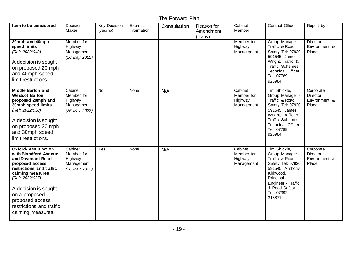| Item to be considered                                                                                                                                                                                                                                                   | Decision<br>Maker                                               | <b>Key Decision</b><br>(yes/no) | Exempt<br>Information | Consultation | Reason for<br>Amendment<br>(if any) | Cabinet<br>Member                              | Contact Officer                                                                                                                                                                     | Report by                                              |
|-------------------------------------------------------------------------------------------------------------------------------------------------------------------------------------------------------------------------------------------------------------------------|-----------------------------------------------------------------|---------------------------------|-----------------------|--------------|-------------------------------------|------------------------------------------------|-------------------------------------------------------------------------------------------------------------------------------------------------------------------------------------|--------------------------------------------------------|
| 20mph and 40mph<br>speed limits<br>(Ref: 2022/042)<br>A decision is sought<br>on proposed 20 mph<br>and 40mph speed<br>limit restrictions.                                                                                                                              | Member for<br>Highway<br>Management<br>(26 May 2022)            |                                 |                       |              |                                     | Member for<br>Highway<br>Management            | Group Manager -<br>Traffic & Road<br>Safety Tel: 07920<br>591545, James<br>Wright, Traffic &<br>Traffic Schemes<br><b>Technical Officer</b><br>Tel: 07789<br>926984                 | Director<br>Environment &<br>Place                     |
| <b>Middle Barton and</b><br><b>Westcot Barton</b><br>proposed 20mph and<br>30mph speed limits<br>(Ref: 2022/038)<br>A decision is sought<br>on proposed 20 mph<br>and 30mph speed<br>limit restrictions.                                                                | Cabinet<br>Member for<br>Highway<br>Management<br>(26 May 2022) | $\overline{N}$                  | None                  | N/A          |                                     | Cabinet<br>Member for<br>Highway<br>Management | Tim Shickle,<br>Group Manager -<br>Traffic & Road<br>Safety Tel: 07920<br>591545, James<br>Wright, Traffic &<br>Traffic Schemes<br><b>Technical Officer</b><br>Tel: 07789<br>926984 | Corporate<br>Director<br>Environment &<br>Place        |
| Oxford- A40 junction<br>with Blandford Avenue<br>and Davenant Road -<br>proposed access<br>restrictions and traffic<br>calming measures<br>(Ref: 2022/037)<br>A decision is sought<br>on a proposed<br>proposed access<br>restrictions and traffic<br>calming measures. | Cabinet<br>Member for<br>Highway<br>Management<br>(26 May 2022) | $\overline{Y}$ es               | None                  | N/A          |                                     | Cabinet<br>Member for<br>Highway<br>Management | Tim Shickle,<br>Group Manager -<br>Traffic & Road<br>Safety Tel: 07920<br>591545, Anthony<br>Kirkwood,<br>Principal<br>Engineer - Traffic<br>& Road Safety<br>Tel: 07392<br>318871  | Corporate<br><b>Director</b><br>Environment &<br>Place |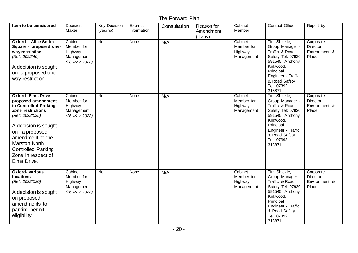| Item to be considered                                                                                                                                                                                                                                              | Decision<br>Maker                                               | <b>Key Decision</b><br>(yes/no) | Exempt<br>Information | Consultation | Reason for<br>Amendment<br>(if any) | Cabinet<br>Member                              | Contact Officer                                                                                                                                                                    | Report by                                              |
|--------------------------------------------------------------------------------------------------------------------------------------------------------------------------------------------------------------------------------------------------------------------|-----------------------------------------------------------------|---------------------------------|-----------------------|--------------|-------------------------------------|------------------------------------------------|------------------------------------------------------------------------------------------------------------------------------------------------------------------------------------|--------------------------------------------------------|
| <b>Oxford - Alice Smith</b><br>Square - proposed one-<br>way restriction<br>(Ref: 2022/40)<br>A decision is sought<br>on a proposed one<br>way restriction.                                                                                                        | Cabinet<br>Member for<br>Highway<br>Management<br>(26 May 2022) | <b>No</b>                       | None                  | N/A          |                                     | Cabinet<br>Member for<br>Highway<br>Management | Tim Shickle,<br>Group Manager -<br>Traffic & Road<br>Safety Tel: 07920<br>591545, Anthony<br>Kirkwood,<br>Principal<br>Engineer - Traffic<br>& Road Safety<br>Tel: 07392<br>318871 | Corporate<br>Director<br>Environment &<br>Place        |
| Oxford- Elms Drive -<br>proposed amendment<br>to Controlled Parking<br>Zone restrictions<br>(Ref: 2022/035)<br>A decision is sought<br>on a proposed<br>amendment to the<br><b>Marston Nprth</b><br><b>Controlled Parking</b><br>Zone in respect of<br>Elms Drive. | Cabinet<br>Member for<br>Highway<br>Management<br>(26 May 2022) | $\overline{N}$                  | None                  | N/A          |                                     | Cabinet<br>Member for<br>Highway<br>Management | Tim Shickle,<br>Group Manager -<br>Traffic & Road<br>Safety Tel: 07920<br>591545, Anthony<br>Kirkwood,<br>Principal<br>Engineer - Traffic<br>& Road Safety<br>Tel: 07392<br>318871 | Corporate<br>Director<br>Environment &<br>Place        |
| <b>Oxford- various</b><br><b>locations</b><br>(Ref: 2022/030)<br>A decision is sought<br>on proposed<br>amendments to<br>parking permit<br>eligibility.                                                                                                            | Cabinet<br>Member for<br>Highway<br>Management<br>(26 May 2022) | <b>No</b>                       | None                  | N/A          |                                     | Cabinet<br>Member for<br>Highway<br>Management | Tim Shickle,<br>Group Manager -<br>Traffic & Road<br>Safety Tel: 07920<br>591545, Anthony<br>Kirkwood,<br>Principal<br>Engineer - Traffic<br>& Road Safety<br>Tel: 07392<br>318871 | Corporate<br><b>Director</b><br>Environment &<br>Place |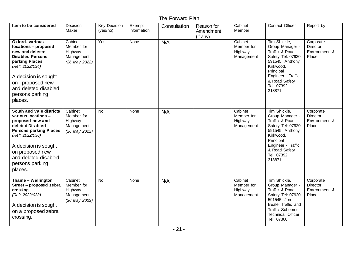| Item to be considered                                                                                                                                                                                                                               | Decision<br>Maker                                               | <b>Key Decision</b><br>(yes/no) | Exempt<br>Information | Consultation | Reason for<br>Amendment<br>$($ if any $)$ | Cabinet<br>Member                              | Contact Officer                                                                                                                                                                    | Report by                                       |
|-----------------------------------------------------------------------------------------------------------------------------------------------------------------------------------------------------------------------------------------------------|-----------------------------------------------------------------|---------------------------------|-----------------------|--------------|-------------------------------------------|------------------------------------------------|------------------------------------------------------------------------------------------------------------------------------------------------------------------------------------|-------------------------------------------------|
| <b>Oxford- various</b><br>locations - proposed<br>new and deleted<br><b>Disabled Persons</b><br>parking Places<br>(Ref: 2022/034)<br>A decision is sought<br>on proposed new<br>and deleted disabled<br>persons parking<br>places.                  | Cabinet<br>Member for<br>Highway<br>Management<br>(26 May 2022) | Yes                             | None                  | N/A          |                                           | Cabinet<br>Member for<br>Highway<br>Management | Tim Shickle,<br>Group Manager -<br>Traffic & Road<br>Safety Tel: 07920<br>591545, Anthony<br>Kirkwood,<br>Principal<br>Engineer - Traffic<br>& Road Safety<br>Tel: 07392<br>318871 | Corporate<br>Director<br>Environment &<br>Place |
| <b>South and Vale districts</b><br>various locations -<br>proposed new and<br>deleted Disabled<br><b>Persons parking Places</b><br>(Ref: 2022/036)<br>A decision is sought<br>on proposed new<br>and deleted disabled<br>persons parking<br>places. | Cabinet<br>Member for<br>Highway<br>Management<br>(26 May 2022) | <b>No</b>                       | None                  | N/A          |                                           | Cabinet<br>Member for<br>Highway<br>Management | Tim Shickle,<br>Group Manager -<br>Traffic & Road<br>Safety Tel: 07920<br>591545, Anthony<br>Kirkwood,<br>Principal<br>Engineer - Traffic<br>& Road Safety<br>Tel: 07392<br>318871 | Corporate<br>Director<br>Environment &<br>Place |
| Thame - Wellington<br>Street - proposed zebra<br>crossing<br>(Ref: 2022/033)<br>A decision is sought<br>on a proposed zebra<br>crossing.                                                                                                            | Cabinet<br>Member for<br>Highway<br>Management<br>(26 May 2022) | <b>No</b>                       | None                  | N/A          |                                           | Cabinet<br>Member for<br>Highway<br>Management | Tim Shickle,<br>Group Manager -<br>Traffic & Road<br>Safety Tel: 07920<br>591545, Jon<br>Beale, Traffic and<br>Traffic Schemes<br><b>Technical Officer</b><br>Tel: 07860           | Corporate<br>Director<br>Environment &<br>Place |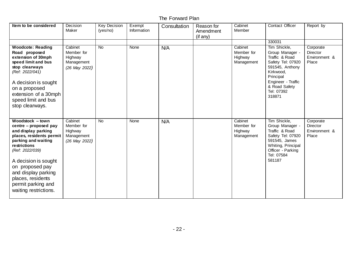| Item to be considered                                                                                                                                                                                                                                                                        | Decision<br>Maker                                               | <b>Key Decision</b><br>(yes/no) | Exempt<br>Information | Consultation | Reason for<br>Amendment<br>(if any) | Cabinet<br>Member                              | Contact Officer                                                                                                                                                                    | Report by                                       |
|----------------------------------------------------------------------------------------------------------------------------------------------------------------------------------------------------------------------------------------------------------------------------------------------|-----------------------------------------------------------------|---------------------------------|-----------------------|--------------|-------------------------------------|------------------------------------------------|------------------------------------------------------------------------------------------------------------------------------------------------------------------------------------|-------------------------------------------------|
|                                                                                                                                                                                                                                                                                              |                                                                 |                                 |                       |              |                                     |                                                | 330031                                                                                                                                                                             |                                                 |
| <b>Woodcote: Reading</b><br>Road proposed<br>extension of 30mph<br>speed limit and bus<br>stop clearways<br>(Ref: 2022/041)<br>A decision is sought<br>on a proposed<br>extension of a 30mph<br>speed limit and bus<br>stop clearways.                                                       | Cabinet<br>Member for<br>Highway<br>Management<br>(26 May 2022) | <b>No</b>                       | None                  | N/A          |                                     | Cabinet<br>Member for<br>Highway<br>Management | Tim Shickle,<br>Group Manager -<br>Traffic & Road<br>Safety Tel: 07920<br>591545, Anthony<br>Kirkwood,<br>Principal<br>Engineer - Traffic<br>& Road Safety<br>Tel: 07392<br>318871 | Corporate<br>Director<br>Environment &<br>Place |
| Woodstock - town<br>centre – proposed pay<br>and display parking<br>places, residents permit<br>parking and waiting<br>restrictions<br>(Ref: 2022/039)<br>A decision is sought<br>on proposed pay<br>and display parking<br>places, residents<br>permit parking and<br>waiting restrictions. | Cabinet<br>Member for<br>Highway<br>Management<br>(26 May 2022) | <b>No</b>                       | None                  | N/A          |                                     | Cabinet<br>Member for<br>Highway<br>Management | Tim Shickle,<br>Group Manager -<br>Traffic & Road<br>Safety Tel: 07920<br>591545, James<br>Whiting, Principal<br>Officer - Parking<br>Tel: 07584<br>581187                         | Corporate<br>Director<br>Environment &<br>Place |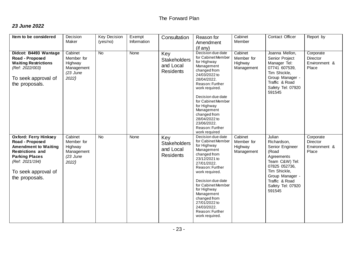#### *23 June 2022*

| Item to be considered                                                                                                                                                                          | Decision<br>Maker                                                     | <b>Key Decision</b><br>(yes/no) | Exempt<br>Information | Consultation                                                | Reason for<br>Amendment<br>(if any)                                                                                                                                                                                                                                                                                    | Cabinet<br>Member                              | Contact Officer                                                                                                                                                                        | Report by                                       |
|------------------------------------------------------------------------------------------------------------------------------------------------------------------------------------------------|-----------------------------------------------------------------------|---------------------------------|-----------------------|-------------------------------------------------------------|------------------------------------------------------------------------------------------------------------------------------------------------------------------------------------------------------------------------------------------------------------------------------------------------------------------------|------------------------------------------------|----------------------------------------------------------------------------------------------------------------------------------------------------------------------------------------|-------------------------------------------------|
| Didcot: B4493 Wantage<br>Road - Proposed<br><b>Waiting Restrictions</b><br>(Ref: 2022/003)<br>To seek approval of<br>the proposals.                                                            | Cabinet<br>Member for<br>Highway<br>Management<br>$(23$ June<br>2022) | <b>No</b>                       | None                  | Key<br><b>Stakeholders</b><br>and Local<br><b>Residents</b> | Decision due date<br>for Cabinet Member<br>for Highway<br>Management<br>changed from<br>24/03/2022 to<br>28/04/2022.<br>Reason: Further<br>work required.<br>Decision due date<br>for Cabinet Member<br>for Highway<br>Management<br>changed from<br>28/04/2022 to<br>23/06/2022.<br>Reason: Further<br>work required  | Cabinet<br>Member for<br>Highway<br>Management | Joanna Mellon,<br>Senior Project<br>Manager Tel:<br>07741 607539,<br>Tim Shickle,<br>Group Manager -<br>Traffic & Road<br>Safety Tel: 07920<br>591545                                  | Corporate<br>Director<br>Environment &<br>Place |
| <b>Oxford: Ferry Hinksey</b><br>Road - Proposed<br><b>Amendment to Waiting</b><br><b>Restrictions and</b><br><b>Parking Places</b><br>(Ref: 2021/194)<br>To seek approval of<br>the proposals. | Cabinet<br>Member for<br>Highway<br>Management<br>$(23$ June<br>2022) | <b>No</b>                       | None                  | Key<br><b>Stakeholders</b><br>and Local<br><b>Residents</b> | Decision due date<br>for Cabinet Member<br>for Highway<br>Management<br>changed from<br>23/12/2021 to<br>27/01/2022.<br>Reason: Further<br>work required.<br>Decision due date<br>for Cabinet Member<br>for Highway<br>Management<br>changed from<br>27/01/2022 to<br>24/03/2022.<br>Reason: Further<br>work required. | Cabinet<br>Member for<br>Highway<br>Management | Julian<br>Richardson,<br>Senior Engineer<br>(Road<br>Agreements<br>Team C&W) Tel:<br>07825 052736,<br>Tim Shickle,<br>Group Manager -<br>Traffic & Road<br>Safety Tel: 07920<br>591545 | Corporate<br>Director<br>Environment &<br>Place |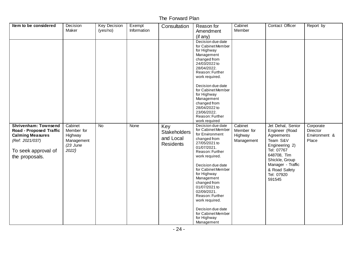| Item to be considered                                                                                                                         | Decision<br>Maker                                                     | <b>Key Decision</b><br>(yes/no) | Exempt<br>Information | Consultation                                                | Reason for<br>Amendment<br>(if any)                                                                                                                                                                                                                                                                                                                                                  | Cabinet<br>Member                              | Contact Officer                                                                                                                                                                              | Report by                                       |
|-----------------------------------------------------------------------------------------------------------------------------------------------|-----------------------------------------------------------------------|---------------------------------|-----------------------|-------------------------------------------------------------|--------------------------------------------------------------------------------------------------------------------------------------------------------------------------------------------------------------------------------------------------------------------------------------------------------------------------------------------------------------------------------------|------------------------------------------------|----------------------------------------------------------------------------------------------------------------------------------------------------------------------------------------------|-------------------------------------------------|
|                                                                                                                                               |                                                                       |                                 |                       |                                                             | Decision due date<br>for Cabinet Member<br>for Highway<br>Management<br>changed from<br>24/03/2022 to<br>28/04/2022.<br>Reason: Further<br>work required.<br>Decision due date<br>for Cabinet Member<br>for Highway<br>Management<br>changed from<br>28/04/2022 to<br>23/06/2022.<br>Reason: Further<br>work required                                                                |                                                |                                                                                                                                                                                              |                                                 |
| <b>Shrivenham: Townsend</b><br>Road - Proposed Traffic<br><b>Calming Measures</b><br>(Ref: 2021/037)<br>To seek approval of<br>the proposals. | Cabinet<br>Member for<br>Highway<br>Management<br>$(23$ June<br>2022) | <b>No</b>                       | None                  | Key<br><b>Stakeholders</b><br>and Local<br><b>Residents</b> | Decision due date<br>for Cabinet Member<br>for Environment<br>changed from<br>27/05/2021 to<br>01/07/2021.<br>Reason: Further<br>work required.<br>Decision due date<br>for Cabinet Member<br>for Highway<br>Management<br>changed from<br>01/07/2021 to<br>02/09/2021.<br>Reason: Further<br>work required.<br>Decision due date<br>for Cabinet Member<br>for Highway<br>Management | Cabinet<br>Member for<br>Highway<br>Management | Jet Dehal, Senior<br>Engineer (Road<br>Agreements<br>Team S&V<br>Engineering 2)<br>Tel: 07767<br>648708, Tim<br>Shickle, Group<br>Manager - Traffic<br>& Road Safety<br>Tel: 07920<br>591545 | Corporate<br>Director<br>Environment &<br>Place |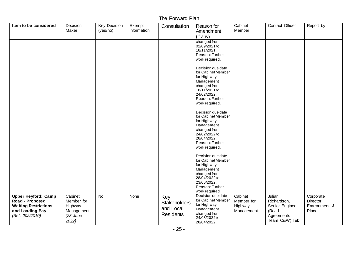| Item to be considered                                                                                              | Decision<br>Maker                                                     | <b>Key Decision</b><br>(yes/no) | Exempt<br>Information | Consultation                                                | Reason for<br>Amendment                                                                                                                                   | Cabinet<br>Member                              | Contact Officer                                                                   | Report by                                       |
|--------------------------------------------------------------------------------------------------------------------|-----------------------------------------------------------------------|---------------------------------|-----------------------|-------------------------------------------------------------|-----------------------------------------------------------------------------------------------------------------------------------------------------------|------------------------------------------------|-----------------------------------------------------------------------------------|-------------------------------------------------|
|                                                                                                                    |                                                                       |                                 |                       |                                                             | (if any)                                                                                                                                                  |                                                |                                                                                   |                                                 |
|                                                                                                                    |                                                                       |                                 |                       |                                                             | changed from<br>02/09/2021 to<br>18/11/2021.<br>Reason: Further<br>work required.                                                                         |                                                |                                                                                   |                                                 |
|                                                                                                                    |                                                                       |                                 |                       |                                                             | Decision due date<br>for Cabinet Member<br>for Highway<br>Management<br>changed from<br>18/11/2021 to<br>24/02/2022.<br>Reason: Further<br>work required. |                                                |                                                                                   |                                                 |
|                                                                                                                    |                                                                       |                                 |                       |                                                             | Decision due date<br>for Cabinet Member<br>for Highway<br>Management<br>changed from<br>24/02/2022 to<br>28/04/2022.<br>Reason: Further<br>work required. |                                                |                                                                                   |                                                 |
|                                                                                                                    |                                                                       |                                 |                       |                                                             | Decision due date<br>for Cabinet Member<br>for Highway<br>Management<br>changed from<br>28/04/2022 to<br>23/06/2022.<br>Reason: Further<br>work required  |                                                |                                                                                   |                                                 |
| <b>Upper Heyford: Camp</b><br>Road - Proposed<br><b>Waiting Restrictions</b><br>and Loading Bay<br>(Ref: 2022/010) | Cabinet<br>Member for<br>Highway<br>Management<br>$(23$ June<br>2022) | <b>No</b>                       | None                  | Key<br><b>Stakeholders</b><br>and Local<br><b>Residents</b> | Decision due date<br>for Cabinet Member<br>for Highway<br>Management<br>changed from<br>24/03/2022 to<br>28/04/2022.                                      | Cabinet<br>Member for<br>Highway<br>Management | Julian<br>Richardson,<br>Senior Engineer<br>(Road<br>Agreements<br>Team C&W) Tel: | Corporate<br>Director<br>Environment &<br>Place |